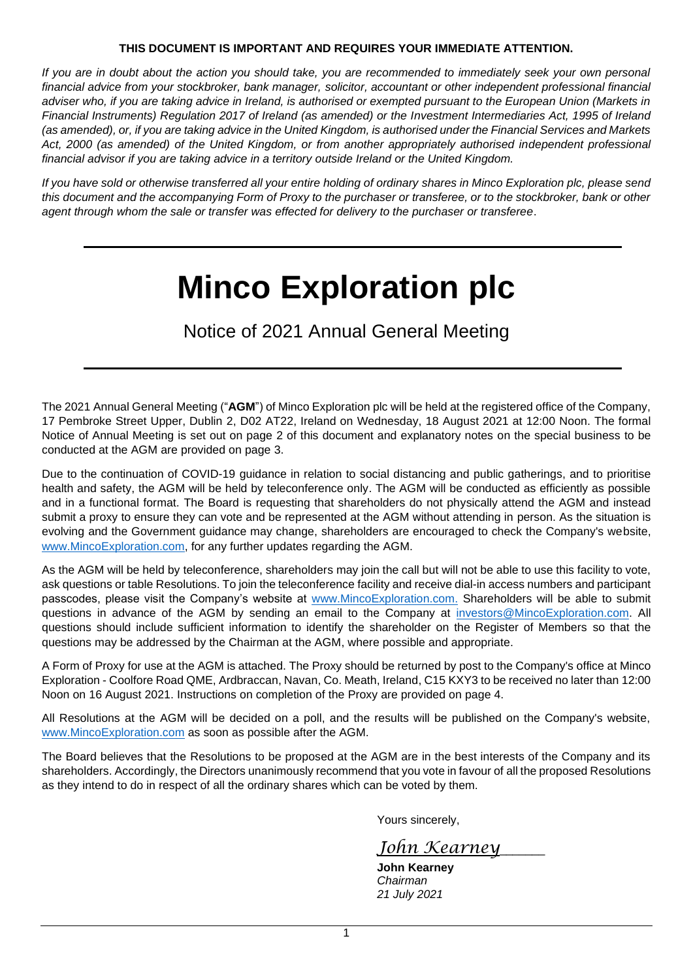## **THIS DOCUMENT IS IMPORTANT AND REQUIRES YOUR IMMEDIATE ATTENTION.**

*If you are in doubt about the action you should take, you are recommended to immediately seek your own personal financial advice from your stockbroker, bank manager, solicitor, accountant or other independent professional financial adviser who, if you are taking advice in Ireland, is authorised or exempted pursuant to the European Union (Markets in Financial Instruments) Regulation 2017 of Ireland (as amended) or the Investment Intermediaries Act, 1995 of Ireland (as amended), or, if you are taking advice in the United Kingdom, is authorised under the Financial Services and Markets Act, 2000 (as amended) of the United Kingdom, or from another appropriately authorised independent professional financial advisor if you are taking advice in a territory outside Ireland or the United Kingdom.*

*If you have sold or otherwise transferred all your entire holding of ordinary shares in Minco Exploration plc, please send this document and the accompanying Form of Proxy to the purchaser or transferee, or to the stockbroker, bank or other agent through whom the sale or transfer was effected for delivery to the purchaser or transferee*.

# **Minco Exploration plc**

Notice of 2021 Annual General Meeting

The 2021 Annual General Meeting ("**AGM**") of Minco Exploration plc will be held at the registered office of the Company, 17 Pembroke Street Upper, Dublin 2, D02 AT22, Ireland on Wednesday, 18 August 2021 at 12:00 Noon. The formal Notice of Annual Meeting is set out on page 2 of this document and explanatory notes on the special business to be conducted at the AGM are provided on page 3.

Due to the continuation of COVID-19 guidance in relation to social distancing and public gatherings, and to prioritise health and safety, the AGM will be held by teleconference only. The AGM will be conducted as efficiently as possible and in a functional format. The Board is requesting that shareholders do not physically attend the AGM and instead submit a proxy to ensure they can vote and be represented at the AGM without attending in person. As the situation is evolving and the Government guidance may change, shareholders are encouraged to check the Company's website, [www.MincoExploration.com,](http://www.mincoexploration.com/) for any further updates regarding the AGM.

As the AGM will be held by teleconference, shareholders may join the call but will not be able to use this facility to vote, ask questions or table Resolutions. To join the teleconference facility and receive dial-in access numbers and participant passcodes, please visit the Company's website at [www.MincoExploration.com.](http://www.mincoexploration.com/) Shareholders will be able to submit questions in advance of the AGM by sending an email to the Company at [investors@MincoExploration.com.](mailto:investors@MincoExploration.com) All questions should include sufficient information to identify the shareholder on the Register of Members so that the questions may be addressed by the Chairman at the AGM, where possible and appropriate.

A Form of Proxy for use at the AGM is attached. The Proxy should be returned by post to the Company's office at Minco Exploration - Coolfore Road QME, Ardbraccan, Navan, Co. Meath, Ireland, C15 KXY3 to be received no later than 12:00 Noon on 16 August 2021. Instructions on completion of the Proxy are provided on page 4.

All Resolutions at the AGM will be decided on a poll, and the results will be published on the Company's website, [www.MincoExploration.com](http://www.mincoexploration.com/) as soon as possible after the AGM.

The Board believes that the Resolutions to be proposed at the AGM are in the best interests of the Company and its shareholders. Accordingly, the Directors unanimously recommend that you vote in favour of all the proposed Resolutions as they intend to do in respect of all the ordinary shares which can be voted by them.

Yours sincerely,

*John Kearney*\_\_\_\_\_\_\_

**John Kearney** *Chairman 21 July 2021*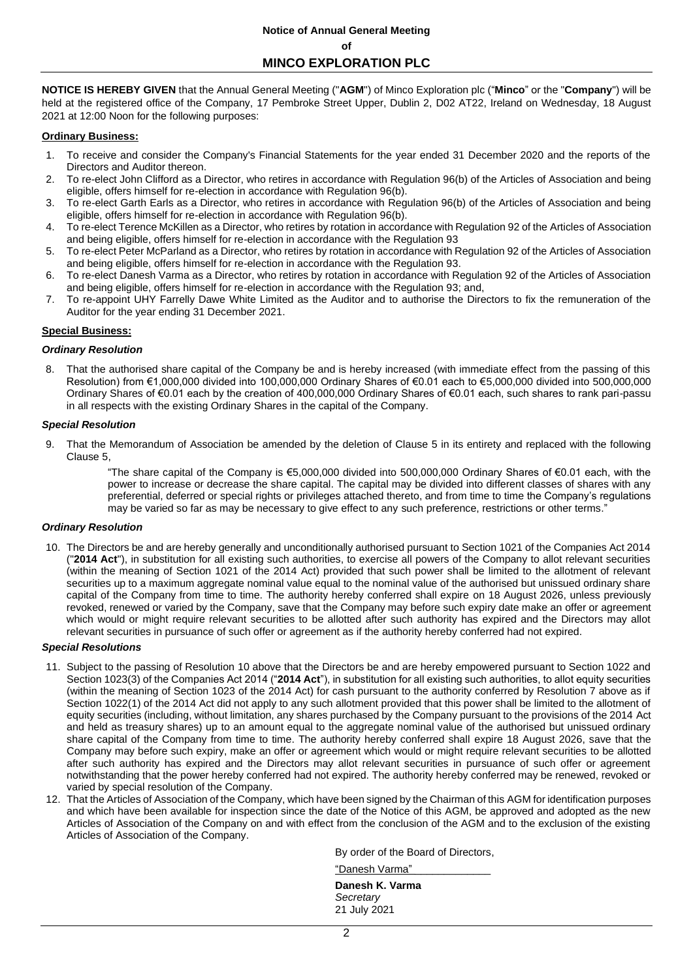## **Notice of Annual General Meeting of**

**MINCO EXPLORATION PLC**

**NOTICE IS HEREBY GIVEN** that the Annual General Meeting ("**AGM**") of Minco Exploration plc ("**Minco**" or the "**Company**") will be held at the registered office of the Company, 17 Pembroke Street Upper, Dublin 2, D02 AT22, Ireland on Wednesday, 18 August 2021 at 12:00 Noon for the following purposes:

#### **Ordinary Business:**

- 1. To receive and consider the Company's Financial Statements for the year ended 31 December 2020 and the reports of the Directors and Auditor thereon.
- 2. To re-elect John Clifford as a Director, who retires in accordance with Regulation 96(b) of the Articles of Association and being eligible, offers himself for re-election in accordance with Regulation 96(b).
- 3. To re-elect Garth Earls as a Director, who retires in accordance with Regulation 96(b) of the Articles of Association and being eligible, offers himself for re-election in accordance with Regulation 96(b).
- 4. To re-elect Terence McKillen as a Director, who retires by rotation in accordance with Regulation 92 of the Articles of Association and being eligible, offers himself for re-election in accordance with the Regulation 93
- 5. To re-elect Peter McParland as a Director, who retires by rotation in accordance with Regulation 92 of the Articles of Association and being eligible, offers himself for re-election in accordance with the Regulation 93.
- 6. To re-elect Danesh Varma as a Director, who retires by rotation in accordance with Regulation 92 of the Articles of Association and being eligible, offers himself for re-election in accordance with the Regulation 93; and,
- 7. To re-appoint UHY Farrelly Dawe White Limited as the Auditor and to authorise the Directors to fix the remuneration of the Auditor for the year ending 31 December 2021.

#### **Special Business:**

#### *Ordinary Resolution*

8. That the authorised share capital of the Company be and is hereby increased (with immediate effect from the passing of this Resolution) from €1,000,000 divided into 100,000,000 Ordinary Shares of €0.01 each to €5,000,000 divided into 500,000,000 Ordinary Shares of €0.01 each by the creation of 400,000,000 Ordinary Shares of €0.01 each, such shares to rank pari-passu in all respects with the existing Ordinary Shares in the capital of the Company.

#### *Special Resolution*

9. That the Memorandum of Association be amended by the deletion of Clause 5 in its entirety and replaced with the following Clause 5,

> "The share capital of the Company is €5,000,000 divided into 500,000,000 Ordinary Shares of €0.01 each, with the power to increase or decrease the share capital. The capital may be divided into different classes of shares with any preferential, deferred or special rights or privileges attached thereto, and from time to time the Company's regulations may be varied so far as may be necessary to give effect to any such preference, restrictions or other terms."

#### *Ordinary Resolution*

10. The Directors be and are hereby generally and unconditionally authorised pursuant to Section 1021 of the Companies Act 2014 ("**2014 Act**"), in substitution for all existing such authorities, to exercise all powers of the Company to allot relevant securities (within the meaning of Section 1021 of the 2014 Act) provided that such power shall be limited to the allotment of relevant securities up to a maximum aggregate nominal value equal to the nominal value of the authorised but unissued ordinary share capital of the Company from time to time. The authority hereby conferred shall expire on 18 August 2026, unless previously revoked, renewed or varied by the Company, save that the Company may before such expiry date make an offer or agreement which would or might require relevant securities to be allotted after such authority has expired and the Directors may allot relevant securities in pursuance of such offer or agreement as if the authority hereby conferred had not expired.

#### *Special Resolutions*

- 11. Subject to the passing of Resolution 10 above that the Directors be and are hereby empowered pursuant to Section 1022 and Section 1023(3) of the Companies Act 2014 ("**2014 Act**"), in substitution for all existing such authorities, to allot equity securities (within the meaning of Section 1023 of the 2014 Act) for cash pursuant to the authority conferred by Resolution 7 above as if Section 1022(1) of the 2014 Act did not apply to any such allotment provided that this power shall be limited to the allotment of equity securities (including, without limitation, any shares purchased by the Company pursuant to the provisions of the 2014 Act and held as treasury shares) up to an amount equal to the aggregate nominal value of the authorised but unissued ordinary share capital of the Company from time to time. The authority hereby conferred shall expire 18 August 2026, save that the Company may before such expiry, make an offer or agreement which would or might require relevant securities to be allotted after such authority has expired and the Directors may allot relevant securities in pursuance of such offer or agreement notwithstanding that the power hereby conferred had not expired. The authority hereby conferred may be renewed, revoked or varied by special resolution of the Company.
- 12. That the Articles of Association of the Company, which have been signed by the Chairman of this AGM for identification purposes and which have been available for inspection since the date of the Notice of this AGM, be approved and adopted as the new Articles of Association of the Company on and with effect from the conclusion of the AGM and to the exclusion of the existing Articles of Association of the Company.

By order of the Board of Directors,

| "Danesh Varma"                               |  |
|----------------------------------------------|--|
| Danesh K. Varma<br>Secretary<br>21 July 2021 |  |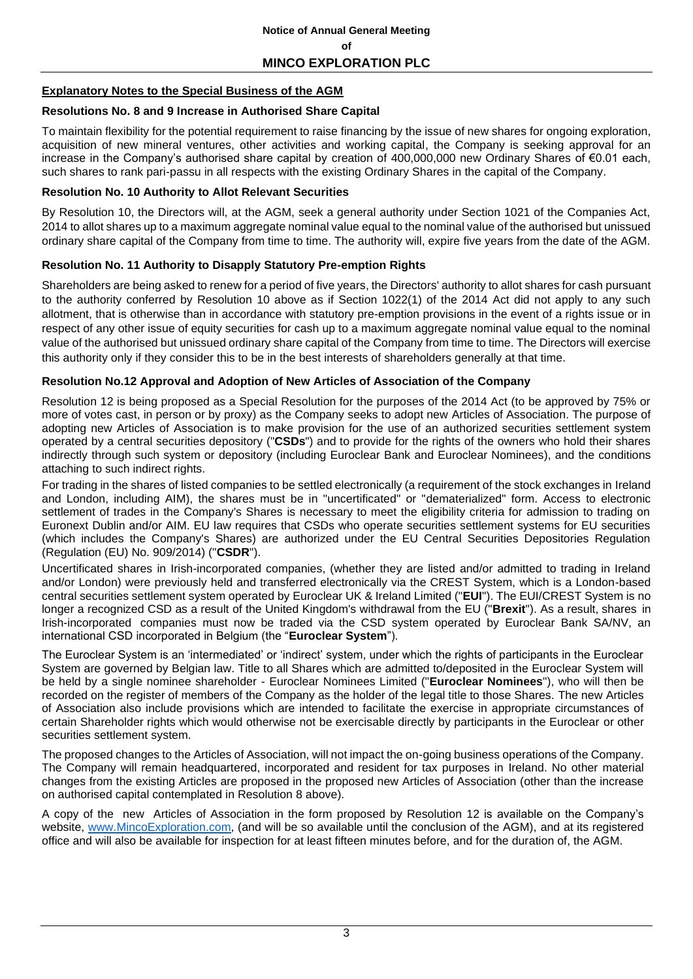## **Explanatory Notes to the Special Business of the AGM**

## **Resolutions No. 8 and 9 Increase in Authorised Share Capital**

To maintain flexibility for the potential requirement to raise financing by the issue of new shares for ongoing exploration, acquisition of new mineral ventures, other activities and working capital, the Company is seeking approval for an increase in the Company's authorised share capital by creation of 400,000,000 new Ordinary Shares of €0.01 each, such shares to rank pari-passu in all respects with the existing Ordinary Shares in the capital of the Company.

## **Resolution No. 10 Authority to Allot Relevant Securities**

By Resolution 10, the Directors will, at the AGM, seek a general authority under Section 1021 of the Companies Act, 2014 to allot shares up to a maximum aggregate nominal value equal to the nominal value of the authorised but unissued ordinary share capital of the Company from time to time. The authority will, expire five years from the date of the AGM.

## **Resolution No. 11 Authority to Disapply Statutory Pre-emption Rights**

Shareholders are being asked to renew for a period of five years, the Directors' authority to allot shares for cash pursuant to the authority conferred by Resolution 10 above as if Section 1022(1) of the 2014 Act did not apply to any such allotment, that is otherwise than in accordance with statutory pre-emption provisions in the event of a rights issue or in respect of any other issue of equity securities for cash up to a maximum aggregate nominal value equal to the nominal value of the authorised but unissued ordinary share capital of the Company from time to time. The Directors will exercise this authority only if they consider this to be in the best interests of shareholders generally at that time.

## **Resolution No.12 Approval and Adoption of New Articles of Association of the Company**

Resolution 12 is being proposed as a Special Resolution for the purposes of the 2014 Act (to be approved by 75% or more of votes cast, in person or by proxy) as the Company seeks to adopt new Articles of Association. The purpose of adopting new Articles of Association is to make provision for the use of an authorized securities settlement system operated by a central securities depository ("**CSDs**") and to provide for the rights of the owners who hold their shares indirectly through such system or depository (including Euroclear Bank and Euroclear Nominees), and the conditions attaching to such indirect rights.

For trading in the shares of listed companies to be settled electronically (a requirement of the stock exchanges in Ireland and London, including AIM), the shares must be in "uncertificated" or "dematerialized" form. Access to electronic settlement of trades in the Company's Shares is necessary to meet the eligibility criteria for admission to trading on Euronext Dublin and/or AIM. EU law requires that CSDs who operate securities settlement systems for EU securities (which includes the Company's Shares) are authorized under the EU Central Securities Depositories Regulation (Regulation (EU) No. 909/2014) ("**CSDR**").

Uncertificated shares in Irish-incorporated companies, (whether they are listed and/or admitted to trading in Ireland and/or London) were previously held and transferred electronically via the CREST System, which is a London-based central securities settlement system operated by Euroclear UK & Ireland Limited ("**EUI**"). The EUI/CREST System is no longer a recognized CSD as a result of the United Kingdom's withdrawal from the EU ("**Brexit**"). As a result, shares in Irish-incorporated companies must now be traded via the CSD system operated by Euroclear Bank SA/NV, an international CSD incorporated in Belgium (the "**Euroclear System**").

The Euroclear System is an 'intermediated' or 'indirect' system, under which the rights of participants in the Euroclear System are governed by Belgian law. Title to all Shares which are admitted to/deposited in the Euroclear System will be held by a single nominee shareholder - Euroclear Nominees Limited ("**Euroclear Nominees**"), who will then be recorded on the register of members of the Company as the holder of the legal title to those Shares. The new Articles of Association also include provisions which are intended to facilitate the exercise in appropriate circumstances of certain Shareholder rights which would otherwise not be exercisable directly by participants in the Euroclear or other securities settlement system.

The proposed changes to the Articles of Association, will not impact the on-going business operations of the Company. The Company will remain headquartered, incorporated and resident for tax purposes in Ireland. No other material changes from the existing Articles are proposed in the proposed new Articles of Association (other than the increase on authorised capital contemplated in Resolution 8 above).

A copy of the new Articles of Association in the form proposed by Resolution 12 is available on the Company's website, [www.MincoExploration.com,](http://www.mincoexploration.com/) (and will be so available until the conclusion of the AGM), and at its registered office and will also be available for inspection for at least fifteen minutes before, and for the duration of, the AGM.